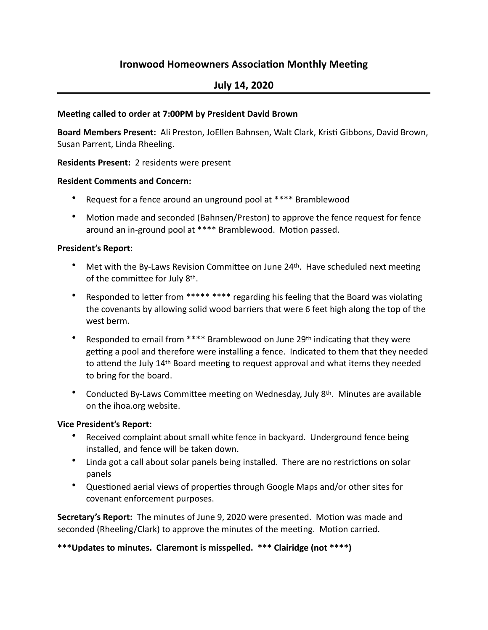# **Ironwood Homeowners Association Monthly Meeting**

## **July 14, 2020**

#### **Meeting called to order at 7:00PM by President David Brown**

Board Members Present: Ali Preston, JoEllen Bahnsen, Walt Clark, Kristi Gibbons, David Brown, Susan Parrent, Linda Rheeling.

#### **Residents Present:** 2 residents were present

#### **Resident Comments and Concern:**

- Request for a fence around an unground pool at \*\*\*\* Bramblewood
- Motion made and seconded (Bahnsen/Preston) to approve the fence request for fence around an in-ground pool at \*\*\*\* Bramblewood. Motion passed.

#### **President's Report:**

- Met with the By-Laws Revision Committee on June  $24<sup>th</sup>$ . Have scheduled next meeting of the committee for July 8th.
- Responded to letter from \*\*\*\*\* \*\*\*\* regarding his feeling that the Board was violating the covenants by allowing solid wood barriers that were 6 feet high along the top of the west herm.
- Responded to email from  $****$  Bramblewood on June 29th indicating that they were getting a pool and therefore were installing a fence. Indicated to them that they needed to attend the July 14<sup>th</sup> Board meeting to request approval and what items they needed to bring for the board.
- Conducted By-Laws Committee meeting on Wednesday, July 8<sup>th</sup>. Minutes are available on the ihoa.org website.

#### **Vice President's Report:**

- Received complaint about small white fence in backyard. Underground fence being installed, and fence will be taken down.
- Linda got a call about solar panels being installed. There are no restrictions on solar panels
- Questioned aerial views of properties through Google Maps and/or other sites for covenant enforcement purposes.

**Secretary's Report:** The minutes of June 9, 2020 were presented. Motion was made and seconded (Rheeling/Clark) to approve the minutes of the meeting. Motion carried.

\*\*\*Updates to minutes. Claremont is misspelled. \*\*\* Clairidge (not \*\*\*\*)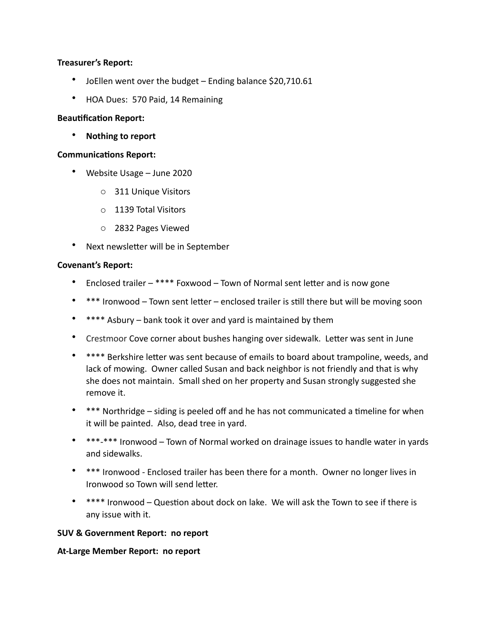#### **Treasurer's Report:**

- JoEllen went over the budget  $-$  Ending balance \$20,710.61
- HOA Dues: 570 Paid, 14 Remaining

#### **Beautification Report:**

• Nothing to report

#### **Communications Report:**

- Website Usage June 2020
	- o 311 Unique Visitors
	- o 1139 Total Visitors
	- o 2832 Pages Viewed
- Next newsletter will be in September

#### **Covenant's Report:**

- Enclosed trailer  $-$  \*\*\*\* Foxwood Town of Normal sent letter and is now gone
- \*\*\* Ironwood Town sent letter enclosed trailer is still there but will be moving soon
- \*\*\*\* Asbury bank took it over and yard is maintained by them
- Crestmoor Cove corner about bushes hanging over sidewalk. Letter was sent in June
- \*\*\*\* Berkshire letter was sent because of emails to board about trampoline, weeds, and lack of mowing. Owner called Susan and back neighbor is not friendly and that is why she does not maintain. Small shed on her property and Susan strongly suggested she remove it.
- \*\*\* Northridge siding is peeled off and he has not communicated a timeline for when it will be painted. Also, dead tree in yard.
- \*\*\*-\*\*\* Ironwood Town of Normal worked on drainage issues to handle water in yards and sidewalks.
- \*\*\* Ironwood Enclosed trailer has been there for a month. Owner no longer lives in Ironwood so Town will send letter.
- $***$  Ironwood Question about dock on lake. We will ask the Town to see if there is any issue with it.

#### **SUV & Government Report: no report**

#### **At-Large Member Report: no report**